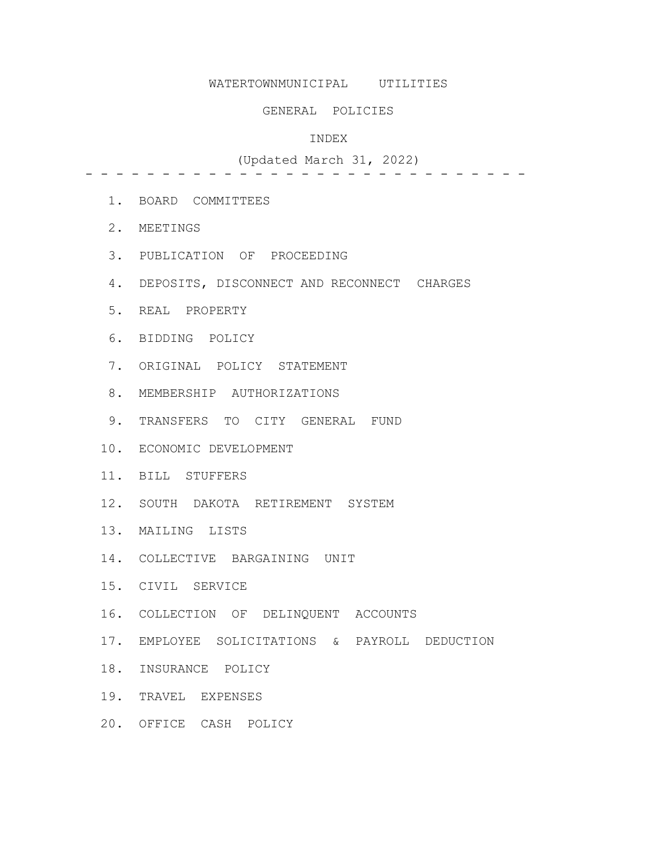# WATERTOWNMUNICIPAL UTILITIES

#### GENERAL POLICIES

#### INDEX

# (Updated March 31, 2022)

- - - - - - - - - - - - - - - - - - - - - - - - - - - - -

- 1. BOARD COMMITTEES
- 2. MEETINGS
- 3. PUBLICATION OF PROCEEDING
- 4. DEPOSITS, DISCONNECT AND RECONNECT CHARGES
- 5. REAL PROPERTY
- 6. BIDDING POLICY
- 7. ORIGINAL POLICY STATEMENT
- 8. MEMBERSHIP AUTHORIZATIONS
- 9. TRANSFERS TO CITY GENERAL FUND
- 10. ECONOMIC DEVELOPMENT
- 11. BILL STUFFERS
- 12. SOUTH DAKOTA RETIREMENT SYSTEM
- 13. MAILING LISTS
- 14. COLLECTIVE BARGAINING UNIT
- 15. CIVIL SERVICE
- 16. COLLECTION OF DELINQUENT ACCOUNTS
- 17. EMPLOYEE SOLICITATIONS & PAYROLL DEDUCTION
- 18. INSURANCE POLICY
- 19. TRAVEL EXPENSES
- 20. OFFICE CASH POLICY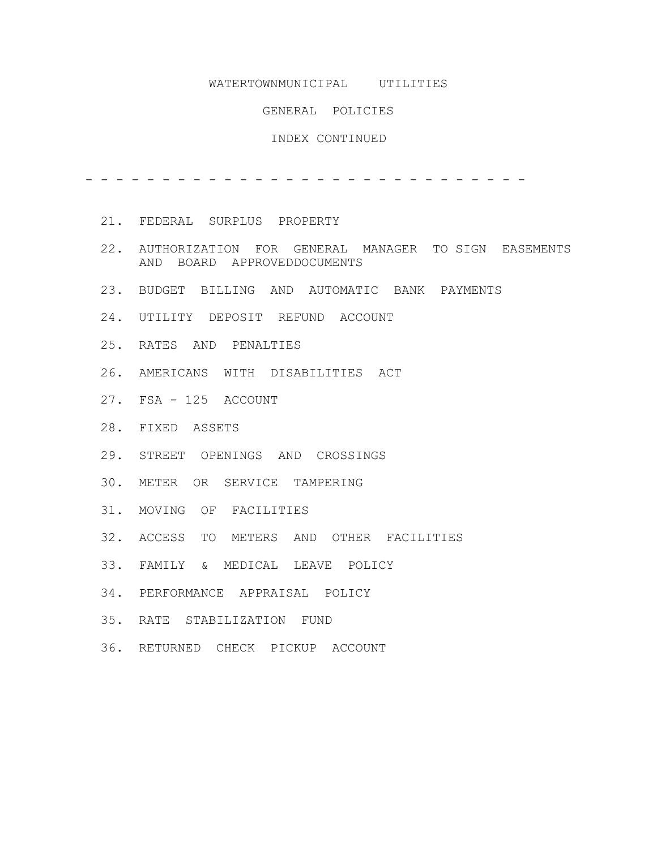# WATERTOWNMUNICIPAL UTILITIES

#### GENERAL POLICIES

#### INDEX CONTINUED

- - - - - - - - - - - - - - - - - - - - - - - - - - - - -

- 21. FEDERAL SURPLUS PROPERTY
- 22. AUTHORIZATION FOR GENERAL MANAGER TO SIGN EASEMENTS AND BOARD APPROVEDDOCUMENTS
- 23. BUDGET BILLING AND AUTOMATIC BANK PAYMENTS
- 24. UTILITY DEPOSIT REFUND ACCOUNT
- 25. RATES AND PENALTIES
- 26. AMERICANS WITH DISABILITIES ACT
- 27. FSA 125 ACCOUNT
- 28. FIXED ASSETS
- 29. STREET OPENINGS AND CROSSINGS
- 30. METER OR SERVICE TAMPERING
- 31. MOVING OF FACILITIES
- 32. ACCESS TO METERS AND OTHER FACILITIES
- 33. FAMILY & MEDICAL LEAVE POLICY
- 34. PERFORMANCE APPRAISAL POLICY
- 35. RATE STABILIZATION FUND
- 36. RETURNED CHECK PICKUP ACCOUNT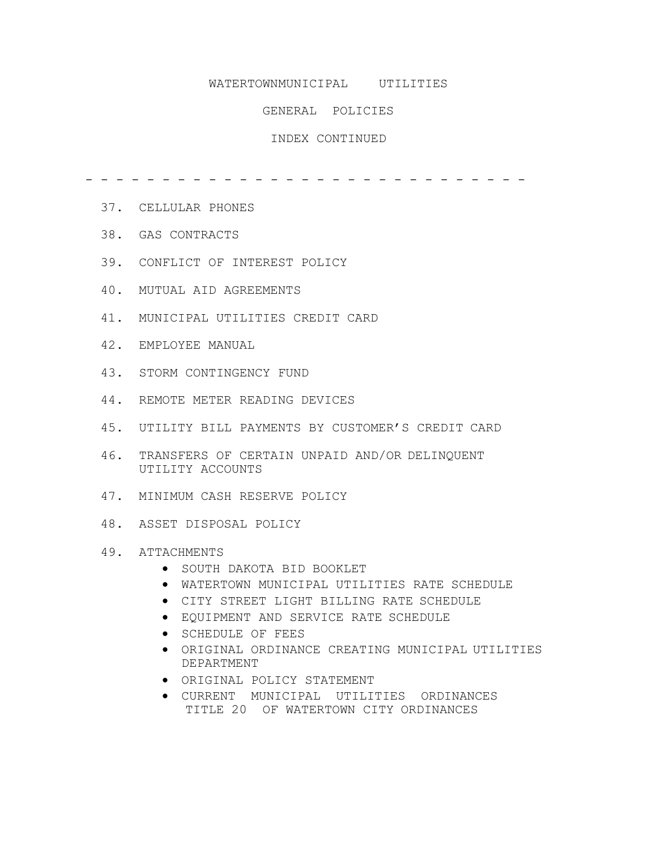# WATERTOWNMUNICIPAL UTILITIES

#### GENERAL POLICIES

# INDEX CONTINUED

- - - - - - - - - - - - - - - - - - - - - - - - - - - - -

- 37. CELLULAR PHONES
- 38. GAS CONTRACTS
- 39. CONFLICT OF INTEREST POLICY
- 40. MUTUAL AID AGREEMENTS
- 41. MUNICIPAL UTILITIES CREDIT CARD
- 42. EMPLOYEE MANUAL
- 43. STORM CONTINGENCY FUND
- 44. REMOTE METER READING DEVICES
- 45. UTILITY BILL PAYMENTS BY CUSTOMER'S CREDIT CARD
- 46. TRANSFERS OF CERTAIN UNPAID AND/OR DELINQUENT UTILITY ACCOUNTS
- 47. MINIMUM CASH RESERVE POLICY
- 48. ASSET DISPOSAL POLICY

#### 49. ATTACHMENTS

- SOUTH DAKOTA BID BOOKLET
- WATERTOWN MUNICIPAL UTILITIES RATE SCHEDULE
- CITY STREET LIGHT BILLING RATE SCHEDULE
- EQUIPMENT AND SERVICE RATE SCHEDULE
- SCHEDULE OF FEES
- ORIGINAL ORDINANCE CREATING MUNICIPAL UTILITIES DEPARTMENT
- ORIGINAL POLICY STATEMENT
- CURRENT MUNICIPAL UTILITIES ORDINANCES TITLE 20 OF WATERTOWN CITY ORDINANCES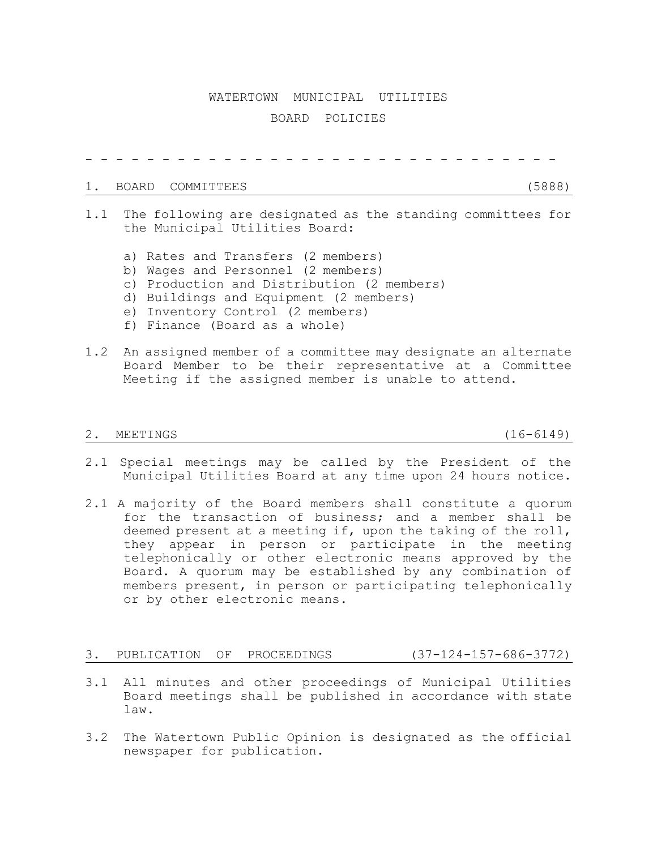### WATERTOWN MUNICIPAL UTILITIES

# BOARD POLICIES

- - - - - - - - - - - - - - - - - - - - - - - - - - - - - - -

#### 1. BOARD COMMITTEES (5888)

- 1.1 The following are designated as the standing committees for the Municipal Utilities Board:
	- a) Rates and Transfers (2 members)
	- b) Wages and Personnel (2 members)
	- c) Production and Distribution (2 members)
	- d) Buildings and Equipment (2 members)
	- e) Inventory Control (2 members)
	- f) Finance (Board as a whole)
- 1.2 An assigned member of a committee may designate an alternate Board Member to be their representative at a Committee Meeting if the assigned member is unable to attend.

#### 2. MEETINGS (16-6149)

- 2.1 Special meetings may be called by the President of the Municipal Utilities Board at any time upon 24 hours notice.
- 2.1 A majority of the Board members shall constitute a quorum for the transaction of business; and a member shall be deemed present at a meeting if, upon the taking of the roll, they appear in person or participate in the meeting telephonically or other electronic means approved by the Board. A quorum may be established by any combination of members present, in person or participating telephonically or by other electronic means.

#### 3. PUBLICATION OF PROCEEDINGS (37-124-157-686-3772)

- 3.1 All minutes and other proceedings of Municipal Utilities Board meetings shall be published in accordance with state law.
- 3.2 The Watertown Public Opinion is designated as the official newspaper for publication.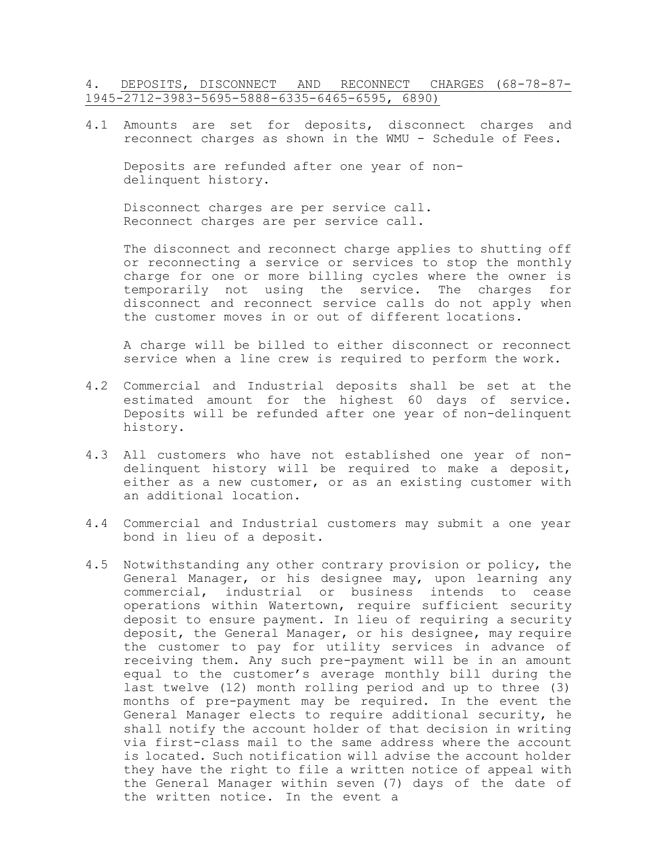# 4. DEPOSITS, DISCONNECT AND RECONNECT CHARGES (68-78-87- 1945-2712-3983-5695-5888-6335-6465-6595, 6890)

4.1 Amounts are set for deposits, disconnect charges and reconnect charges as shown in the WMU - Schedule of Fees.

Deposits are refunded after one year of nondelinquent history.

Disconnect charges are per service call. Reconnect charges are per service call.

The disconnect and reconnect charge applies to shutting off or reconnecting a service or services to stop the monthly charge for one or more billing cycles where the owner is temporarily not using the service. The charges for disconnect and reconnect service calls do not apply when the customer moves in or out of different locations.

A charge will be billed to either disconnect or reconnect service when a line crew is required to perform the work.

- 4.2 Commercial and Industrial deposits shall be set at the estimated amount for the highest 60 days of service. Deposits will be refunded after one year of non-delinquent history.
- 4.3 All customers who have not established one year of nondelinquent history will be required to make a deposit, either as a new customer, or as an existing customer with an additional location.
- 4.4 Commercial and Industrial customers may submit a one year bond in lieu of a deposit.
- 4.5 Notwithstanding any other contrary provision or policy, the General Manager, or his designee may, upon learning any commercial, industrial or business intends to cease operations within Watertown, require sufficient security deposit to ensure payment. In lieu of requiring a security deposit, the General Manager, or his designee, may require the customer to pay for utility services in advance of receiving them. Any such pre-payment will be in an amount equal to the customer's average monthly bill during the last twelve (12) month rolling period and up to three (3) months of pre-payment may be required. In the event the General Manager elects to require additional security, he shall notify the account holder of that decision in writing via first-class mail to the same address where the account is located. Such notification will advise the account holder they have the right to file a written notice of appeal with the General Manager within seven (7) days of the date of the written notice. In the event a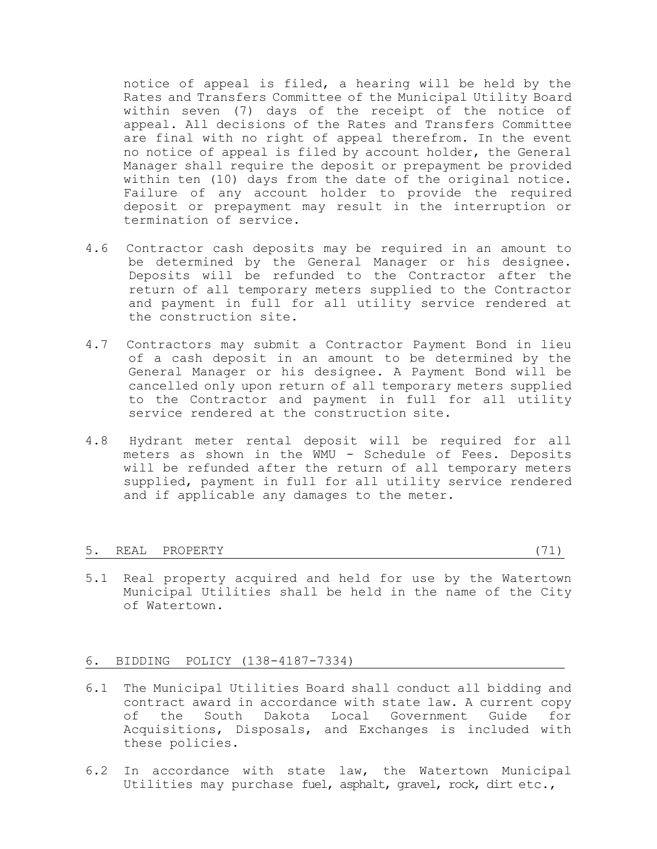notice of appeal is filed, a hearing will be held by the Rates and Transfers Committee of the Municipal Utility Board within seven (7) days of the receipt of the notice of appeal. All decisions of the Rates and Transfers Committee are final with no right of appeal therefrom. In the event no notice of appeal is filed by account holder, the General Manager shall require the deposit or prepayment be provided within ten (10) days from the date of the original notice. Failure of any account holder to provide the required deposit or prepayment may result in the interruption or termination of service.

- 4.6 Contractor cash deposits may be required in an amount to be determined by the General Manager or his designee. Deposits will be refunded to the Contractor after the return of all temporary meters supplied to the Contractor and payment in full for all utility service rendered at the construction site.
- 4.7 Contractors may submit a Contractor Payment Bond in lieu of a cash deposit in an amount to be determined by the General Manager or his designee. A Payment Bond will be cancelled only upon return of all temporary meters supplied to the Contractor and payment in full for all utility service rendered at the construction site.
- 4.8 Hydrant meter rental deposit will be required for all meters as shown in the WMU - Schedule of Fees. Deposits will be refunded after the return of all temporary meters supplied, payment in full for all utility service rendered and if applicable any damages to the meter.

#### 5. REAL PROPERTY (71)

5.1 Real property acquired and held for use by the Watertown Municipal Utilities shall be held in the name of the City of Watertown.

# 6. BIDDING POLICY (138-4187-7334)

- 6.1 The Municipal Utilities Board shall conduct all bidding and contract award in accordance with state law. A current copy of the South Dakota Local Government Guide for Acquisitions, Disposals, and Exchanges is included with these policies.
- 6.2 In accordance with state law, the Watertown Municipal Utilities may purchase fuel, asphalt, gravel, rock, dirt etc.,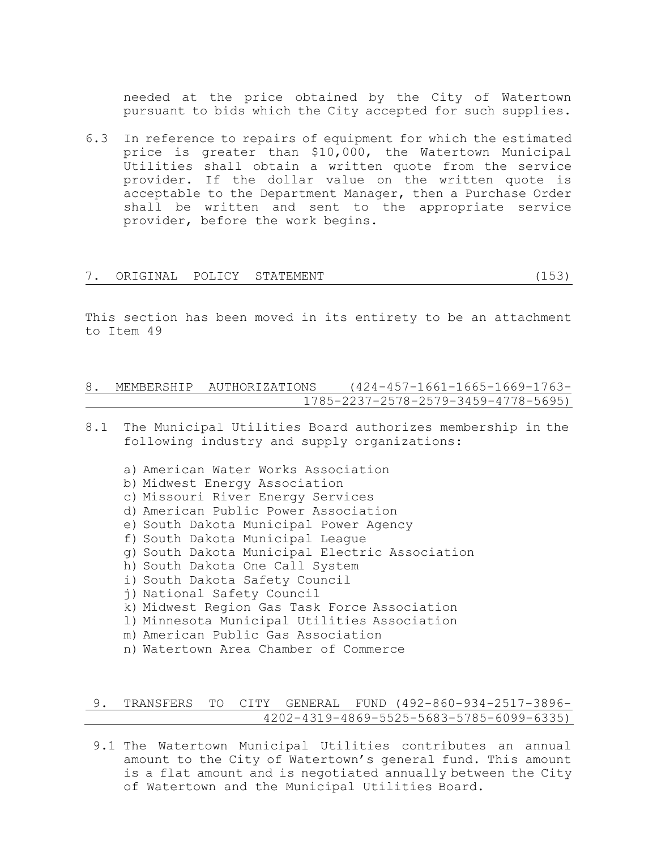needed at the price obtained by the City of Watertown pursuant to bids which the City accepted for such supplies.

6.3 In reference to repairs of equipment for which the estimated price is greater than \$10,000, the Watertown Municipal Utilities shall obtain a written quote from the service provider. If the dollar value on the written quote is acceptable to the Department Manager, then a Purchase Order shall be written and sent to the appropriate service provider, before the work begins.

|  | ORIGINAL POLICY STATEMENT |  |
|--|---------------------------|--|
|  |                           |  |

This section has been moved in its entirety to be an attachment to Item 49

# 8. MEMBERSHIP AUTHORIZATIONS (424-457-1661-1665-1669-1763- 1785-2237-2578-2579-3459-4778-5695)

- 8.1 The Municipal Utilities Board authorizes membership in the following industry and supply organizations:
	- a) American Water Works Association b) Midwest Energy Association c) Missouri River Energy Services d) American Public Power Association e) South Dakota Municipal Power Agency f) South Dakota Municipal League g) South Dakota Municipal Electric Association h) South Dakota One Call System i) South Dakota Safety Council j) National Safety Council k) Midwest Region Gas Task Force Association l) Minnesota Municipal Utilities Association m) American Public Gas Association n) Watertown Area Chamber of Commerce

# 9. TRANSFERS TO CITY GENERAL FUND (492-860-934-2517-3896- 4202-4319-4869-5525-5683-5785-6099-6335)

9.1 The Watertown Municipal Utilities contributes an annual amount to the City of Watertown's general fund. This amount is a flat amount and is negotiated annually between the City of Watertown and the Municipal Utilities Board.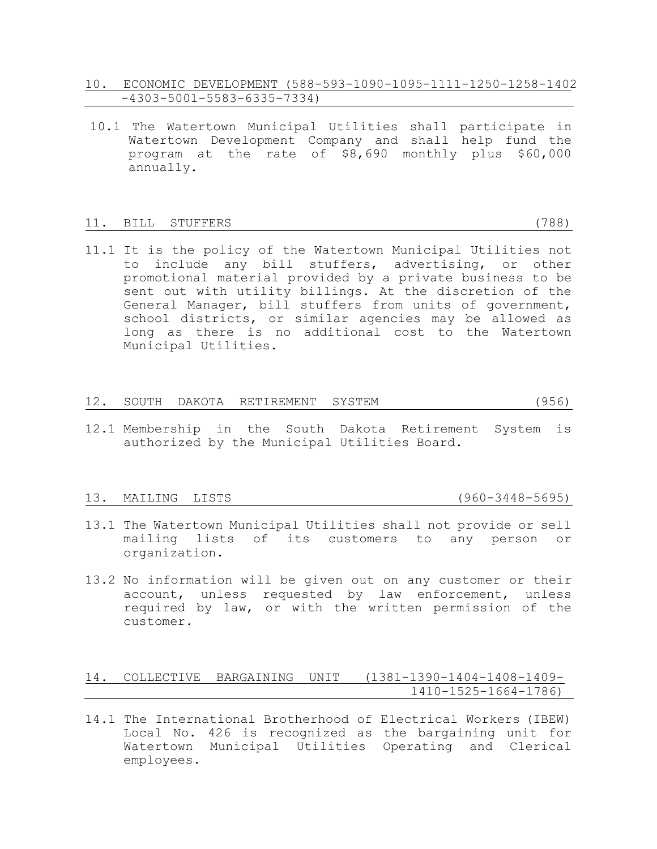- 10. ECONOMIC DEVELOPMENT (588-593-1090-1095-1111-1250-1258-1402 -4303-5001-5583-6335-7334)
- 10.1 The Watertown Municipal Utilities shall participate in Watertown Development Company and shall help fund the program at the rate of \$8,690 monthly plus \$60,000 annually.

#### 11. BILL STUFFERS (788)

11.1 It is the policy of the Watertown Municipal Utilities not to include any bill stuffers, advertising, or other promotional material provided by a private business to be sent out with utility billings. At the discretion of the General Manager, bill stuffers from units of government, school districts, or similar agencies may be allowed as long as there is no additional cost to the Watertown Municipal Utilities.

# 12. SOUTH DAKOTA RETIREMENT SYSTEM (956)

12.1 Membership in the South Dakota Retirement System is authorized by the Municipal Utilities Board.

#### 13. MAILING LISTS (960-3448-5695)

- 13.1 The Watertown Municipal Utilities shall not provide or sell mailing lists of its customers to any person or organization.
- 13.2 No information will be given out on any customer or their account, unless requested by law enforcement, unless required by law, or with the written permission of the customer.

# 14. COLLECTIVE BARGAINING UNIT (1381-1390-1404-1408-1409- 1410-1525-1664-1786)

14.1 The International Brotherhood of Electrical Workers (IBEW) Local No. 426 is recognized as the bargaining unit for Watertown Municipal Utilities Operating and Clerical employees.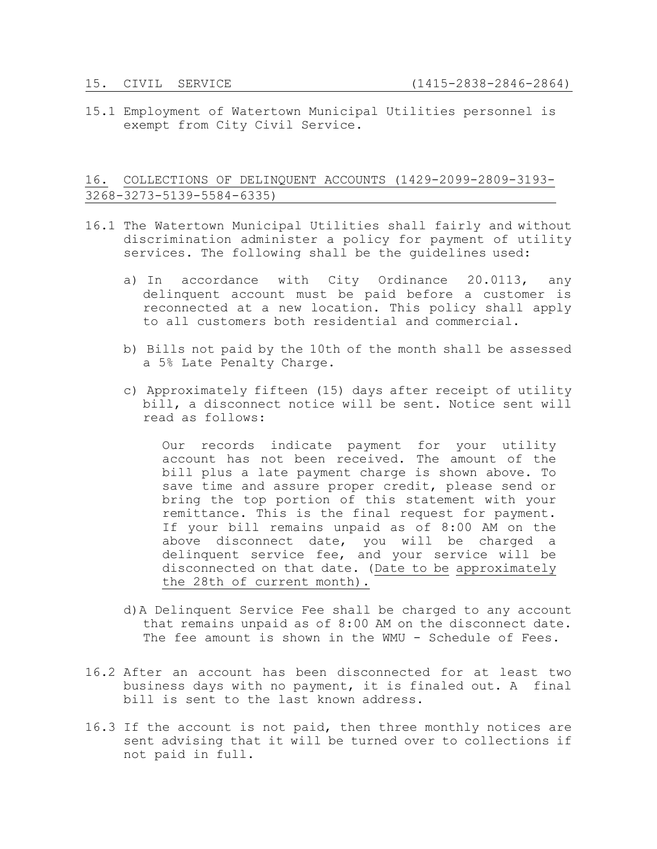15.1 Employment of Watertown Municipal Utilities personnel is exempt from City Civil Service.

# 16. COLLECTIONS OF DELINQUENT ACCOUNTS (1429-2099-2809-3193- 3268-3273-5139-5584-6335)

- 16.1 The Watertown Municipal Utilities shall fairly and without discrimination administer a policy for payment of utility services. The following shall be the guidelines used:
	- a) In accordance with City Ordinance 20.0113, any delinquent account must be paid before a customer is reconnected at a new location. This policy shall apply to all customers both residential and commercial.
	- b) Bills not paid by the 10th of the month shall be assessed a 5% Late Penalty Charge.
	- c) Approximately fifteen (15) days after receipt of utility bill, a disconnect notice will be sent. Notice sent will read as follows:

Our records indicate payment for your utility account has not been received. The amount of the bill plus a late payment charge is shown above. To save time and assure proper credit, please send or bring the top portion of this statement with your remittance. This is the final request for payment. If your bill remains unpaid as of 8:00 AM on the above disconnect date, you will be charged a delinquent service fee, and your service will be disconnected on that date. (Date to be approximately the 28th of current month).

- d)A Delinquent Service Fee shall be charged to any account that remains unpaid as of 8:00 AM on the disconnect date. The fee amount is shown in the WMU - Schedule of Fees.
- 16.2 After an account has been disconnected for at least two business days with no payment, it is finaled out. A final bill is sent to the last known address.
- 16.3 If the account is not paid, then three monthly notices are sent advising that it will be turned over to collections if not paid in full.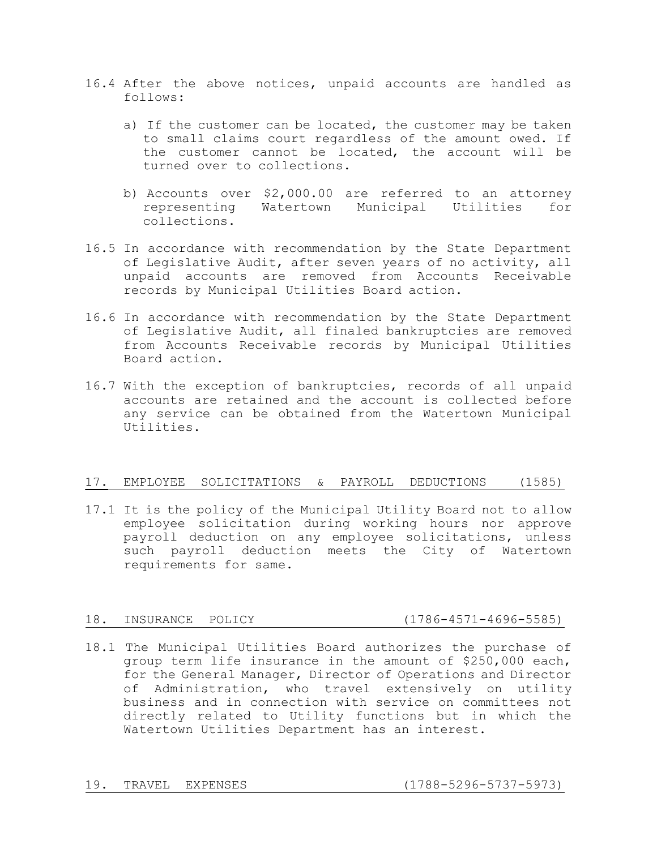- 16.4 After the above notices, unpaid accounts are handled as follows:
	- a) If the customer can be located, the customer may be taken to small claims court regardless of the amount owed. If the customer cannot be located, the account will be turned over to collections.
	- b) Accounts over \$2,000.00 are referred to an attorney representing Watertown Municipal Utilities for collections.
- 16.5 In accordance with recommendation by the State Department of Legislative Audit, after seven years of no activity, all unpaid accounts are removed from Accounts Receivable records by Municipal Utilities Board action.
- 16.6 In accordance with recommendation by the State Department of Legislative Audit, all finaled bankruptcies are removed from Accounts Receivable records by Municipal Utilities Board action.
- 16.7 With the exception of bankruptcies, records of all unpaid accounts are retained and the account is collected before any service can be obtained from the Watertown Municipal Utilities.

# 17. EMPLOYEE SOLICITATIONS & PAYROLL DEDUCTIONS (1585)

17.1 It is the policy of the Municipal Utility Board not to allow employee solicitation during working hours nor approve payroll deduction on any employee solicitations, unless such payroll deduction meets the City of Watertown requirements for same.

# 18. INSURANCE POLICY (1786-4571-4696-5585)

18.1 The Municipal Utilities Board authorizes the purchase of group term life insurance in the amount of \$250,000 each, for the General Manager, Director of Operations and Director of Administration, who travel extensively on utility business and in connection with service on committees not directly related to Utility functions but in which the Watertown Utilities Department has an interest.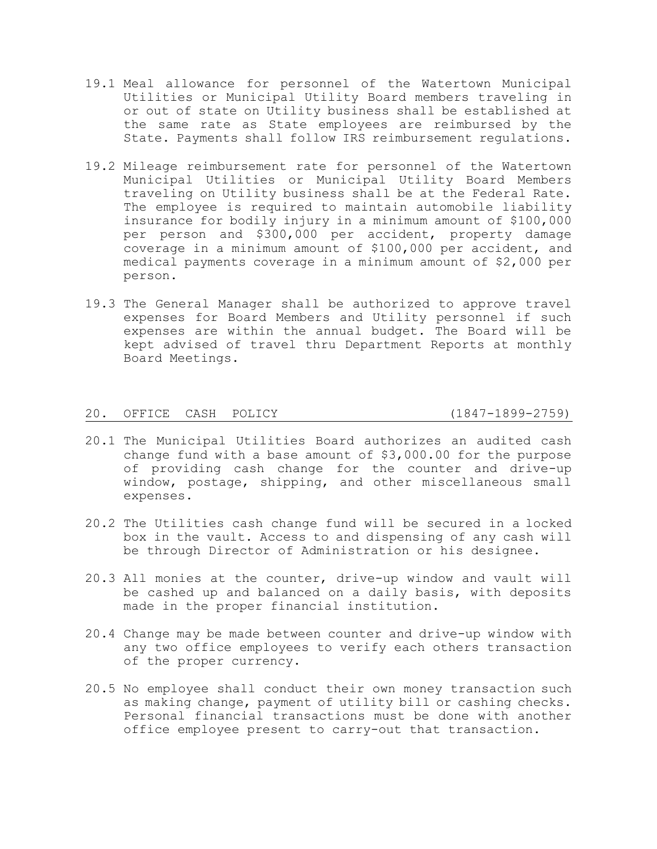- 19.1 Meal allowance for personnel of the Watertown Municipal Utilities or Municipal Utility Board members traveling in or out of state on Utility business shall be established at the same rate as State employees are reimbursed by the State. Payments shall follow IRS reimbursement regulations.
- 19.2 Mileage reimbursement rate for personnel of the Watertown Municipal Utilities or Municipal Utility Board Members traveling on Utility business shall be at the Federal Rate. The employee is required to maintain automobile liability insurance for bodily injury in a minimum amount of \$100,000 per person and \$300,000 per accident, property damage coverage in a minimum amount of \$100,000 per accident, and medical payments coverage in a minimum amount of \$2,000 per person.
- 19.3 The General Manager shall be authorized to approve travel expenses for Board Members and Utility personnel if such expenses are within the annual budget. The Board will be kept advised of travel thru Department Reports at monthly Board Meetings.

# 20. OFFICE CASH POLICY (1847-1899-2759)

- 20.1 The Municipal Utilities Board authorizes an audited cash change fund with a base amount of \$3,000.00 for the purpose of providing cash change for the counter and drive-up window, postage, shipping, and other miscellaneous small expenses.
- 20.2 The Utilities cash change fund will be secured in a locked box in the vault. Access to and dispensing of any cash will be through Director of Administration or his designee.
- 20.3 All monies at the counter, drive-up window and vault will be cashed up and balanced on a daily basis, with deposits made in the proper financial institution.
- 20.4 Change may be made between counter and drive-up window with any two office employees to verify each others transaction of the proper currency.
- 20.5 No employee shall conduct their own money transaction such as making change, payment of utility bill or cashing checks. Personal financial transactions must be done with another office employee present to carry-out that transaction.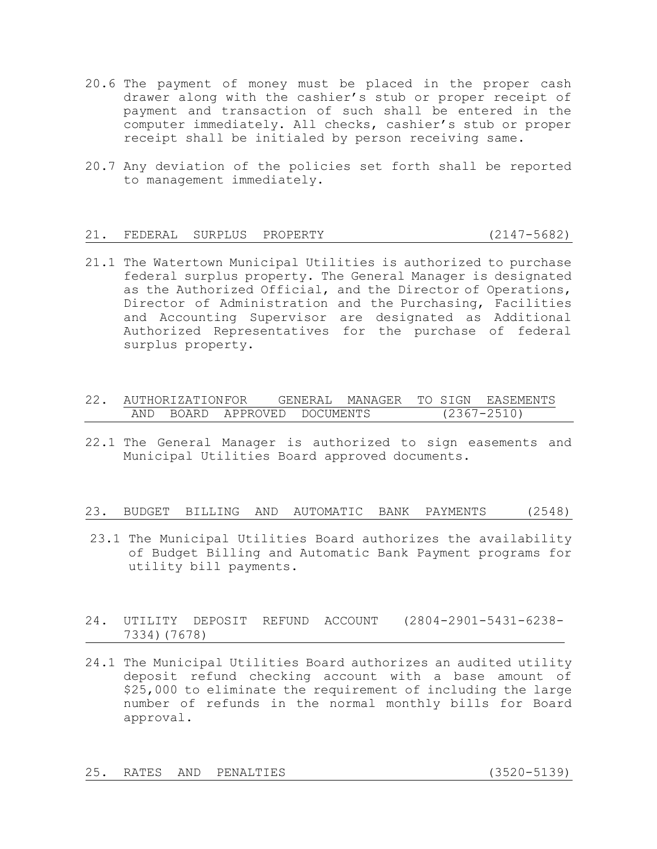- 20.6 The payment of money must be placed in the proper cash drawer along with the cashier's stub or proper receipt of payment and transaction of such shall be entered in the computer immediately. All checks, cashier's stub or proper receipt shall be initialed by person receiving same.
- 20.7 Any deviation of the policies set forth shall be reported to management immediately.

### 21. FEDERAL SURPLUS PROPERTY (2147-5682)

- 21.1 The Watertown Municipal Utilities is authorized to purchase federal surplus property. The General Manager is designated as the Authorized Official, and the Director of Operations, Director of Administration and the Purchasing, Facilities and Accounting Supervisor are designated as Additional Authorized Representatives for the purchase of federal surplus property.
- 22. AUTHORIZATIONFOR GENERAL MANAGER TO SIGN EASEMENTS AND BOARD APPROVED DOCUMENTS (2367-2510)
- 22.1 The General Manager is authorized to sign easements and Municipal Utilities Board approved documents.

#### 23. BUDGET BILLING AND AUTOMATIC BANK PAYMENTS (2548)

- 23.1 The Municipal Utilities Board authorizes the availability of Budget Billing and Automatic Bank Payment programs for utility bill payments.
- 24. UTILITY DEPOSIT REFUND ACCOUNT (2804-2901-5431-6238- 7334)(7678)
- 24.1 The Municipal Utilities Board authorizes an audited utility deposit refund checking account with a base amount of \$25,000 to eliminate the requirement of including the large number of refunds in the normal monthly bills for Board approval.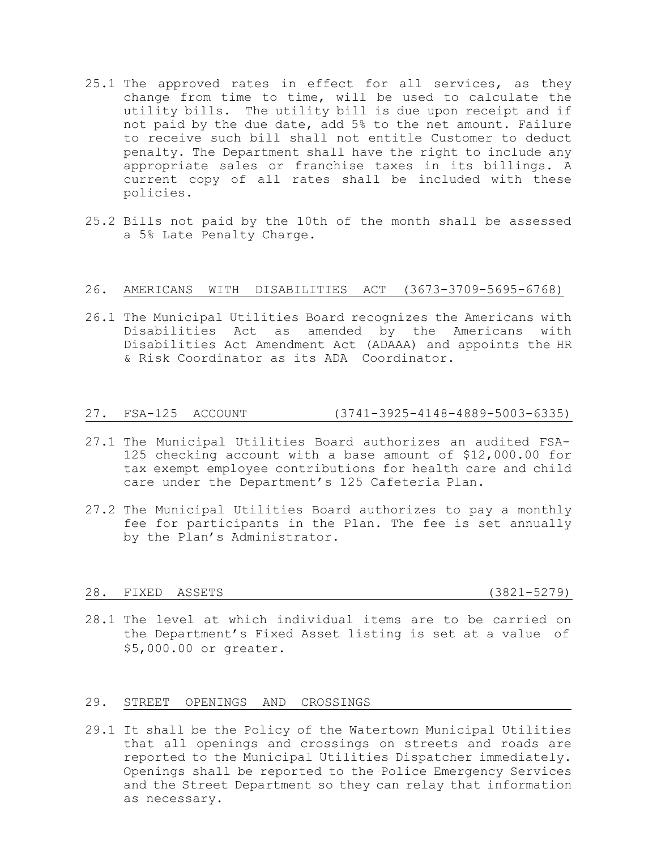- 25.1 The approved rates in effect for all services, as they change from time to time, will be used to calculate the utility bills. The utility bill is due upon receipt and if not paid by the due date, add 5% to the net amount. Failure to receive such bill shall not entitle Customer to deduct penalty. The Department shall have the right to include any appropriate sales or franchise taxes in its billings. A current copy of all rates shall be included with these policies.
- 25.2 Bills not paid by the 10th of the month shall be assessed a 5% Late Penalty Charge.

#### 26. AMERICANS WITH DISABILITIES ACT (3673-3709-5695-6768)

26.1 The Municipal Utilities Board recognizes the Americans with Disabilities Act as amended by the Americans with Disabilities Act Amendment Act (ADAAA) and appoints the HR & Risk Coordinator as its ADA Coordinator.

#### 27. FSA-125 ACCOUNT (3741-3925-4148-4889-5003-6335)

- 27.1 The Municipal Utilities Board authorizes an audited FSA-125 checking account with a base amount of \$12,000.00 for tax exempt employee contributions for health care and child care under the Department's 125 Cafeteria Plan.
- 27.2 The Municipal Utilities Board authorizes to pay a monthly fee for participants in the Plan. The fee is set annually by the Plan's Administrator.

#### 28. FIXED ASSETS (3821-5279)

28.1 The level at which individual items are to be carried on the Department's Fixed Asset listing is set at a value of \$5,000.00 or greater.

# 29. STREET OPENINGS AND CROSSINGS

29.1 It shall be the Policy of the Watertown Municipal Utilities that all openings and crossings on streets and roads are reported to the Municipal Utilities Dispatcher immediately. Openings shall be reported to the Police Emergency Services and the Street Department so they can relay that information as necessary.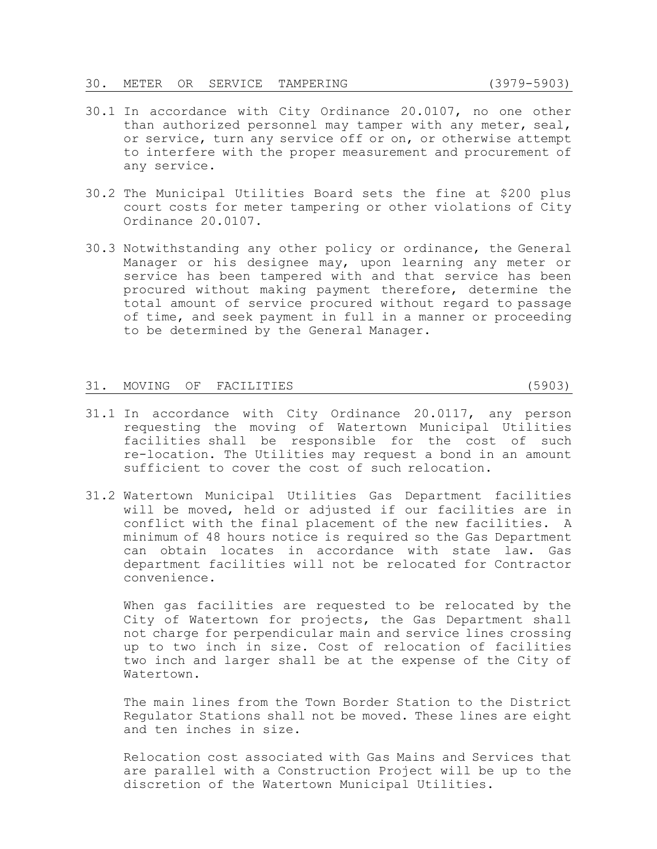- 30.1 In accordance with City Ordinance 20.0107, no one other than authorized personnel may tamper with any meter, seal, or service, turn any service off or on, or otherwise attempt to interfere with the proper measurement and procurement of any service.
- 30.2 The Municipal Utilities Board sets the fine at \$200 plus court costs for meter tampering or other violations of City Ordinance 20.0107.
- 30.3 Notwithstanding any other policy or ordinance, the General Manager or his designee may, upon learning any meter or service has been tampered with and that service has been procured without making payment therefore, determine the total amount of service procured without regard to passage of time, and seek payment in full in a manner or proceeding to be determined by the General Manager.

#### 31. MOVING OF FACILITIES (5903)

- 31.1 In accordance with City Ordinance 20.0117, any person requesting the moving of Watertown Municipal Utilities facilities shall be responsible for the cost of such re-location. The Utilities may request a bond in an amount sufficient to cover the cost of such relocation.
- 31.2 Watertown Municipal Utilities Gas Department facilities will be moved, held or adjusted if our facilities are in conflict with the final placement of the new facilities. A minimum of 48 hours notice is required so the Gas Department can obtain locates in accordance with state law. Gas department facilities will not be relocated for Contractor convenience.

When gas facilities are requested to be relocated by the City of Watertown for projects, the Gas Department shall not charge for perpendicular main and service lines crossing up to two inch in size. Cost of relocation of facilities two inch and larger shall be at the expense of the City of Watertown.

The main lines from the Town Border Station to the District Regulator Stations shall not be moved. These lines are eight and ten inches in size.

Relocation cost associated with Gas Mains and Services that are parallel with a Construction Project will be up to the discretion of the Watertown Municipal Utilities.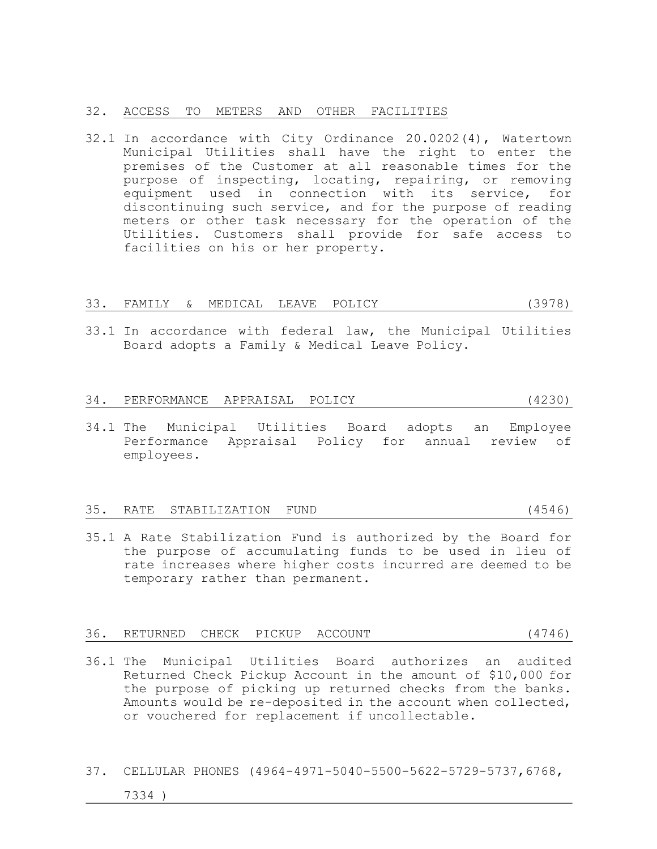#### 32. ACCESS TO METERS AND OTHER FACILITIES

32.1 In accordance with City Ordinance 20.0202(4), Watertown Municipal Utilities shall have the right to enter the premises of the Customer at all reasonable times for the purpose of inspecting, locating, repairing, or removing equipment used in connection with its service, for discontinuing such service, and for the purpose of reading meters or other task necessary for the operation of the Utilities. Customers shall provide for safe access to facilities on his or her property.

#### 33. FAMILY & MEDICAL LEAVE POLICY (3978)

33.1 In accordance with federal law, the Municipal Utilities Board adopts a Family & Medical Leave Policy.

#### 34. PERFORMANCE APPRAISAL POLICY (4230)

34.1 The Municipal Utilities Board adopts an Employee Performance Appraisal Policy for annual review of employees.

#### 35. RATE STABILIZATION FUND (4546)

35.1 A Rate Stabilization Fund is authorized by the Board for the purpose of accumulating funds to be used in lieu of rate increases where higher costs incurred are deemed to be temporary rather than permanent.

|  | 36. RETURNED CHECK PICKUP ACCOUNT |  |  |  |  | (4746) |
|--|-----------------------------------|--|--|--|--|--------|
|--|-----------------------------------|--|--|--|--|--------|

- 36.1 The Municipal Utilities Board authorizes an audited Returned Check Pickup Account in the amount of \$10,000 for the purpose of picking up returned checks from the banks. Amounts would be re-deposited in the account when collected, or vouchered for replacement if uncollectable.
- 37. CELLULAR PHONES (4964-4971-5040-5500-5622-5729-5737,6768,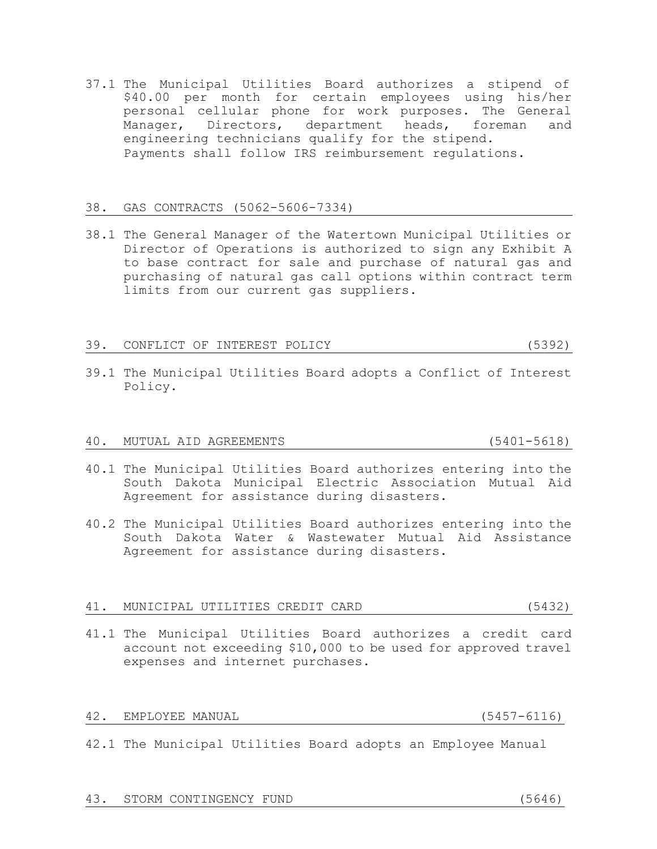engineering technicians qualify for the stipend. Payments shall follow IRS reimbursement regulations. 38. GAS CONTRACTS (5062-5606-7334)

37.1 The Municipal Utilities Board authorizes a stipend of

\$40.00 per month for certain employees using his/her personal cellular phone for work purposes. The General Manager, Directors, department heads, foreman and

38.1 The General Manager of the Watertown Municipal Utilities or Director of Operations is authorized to sign any Exhibit A to base contract for sale and purchase of natural gas and purchasing of natural gas call options within contract term limits from our current gas suppliers.

### 39. CONFLICT OF INTEREST POLICY (5392)

39.1 The Municipal Utilities Board adopts a Conflict of Interest Policy.

# 40. MUTUAL AID AGREEMENTS (5401-5618)

- 40.1 The Municipal Utilities Board authorizes entering into the South Dakota Municipal Electric Association Mutual Aid Agreement for assistance during disasters.
- 40.2 The Municipal Utilities Board authorizes entering into the South Dakota Water & Wastewater Mutual Aid Assistance Agreement for assistance during disasters.

#### 41. MUNICIPAL UTILITIES CREDIT CARD (5432)

41.1 The Municipal Utilities Board authorizes a credit card account not exceeding \$10,000 to be used for approved travel expenses and internet purchases.

#### 42. EMPLOYEE MANUAL (5457-6116)

42.1 The Municipal Utilities Board adopts an Employee Manual

# 43. STORM CONTINGENCY FUND (5646)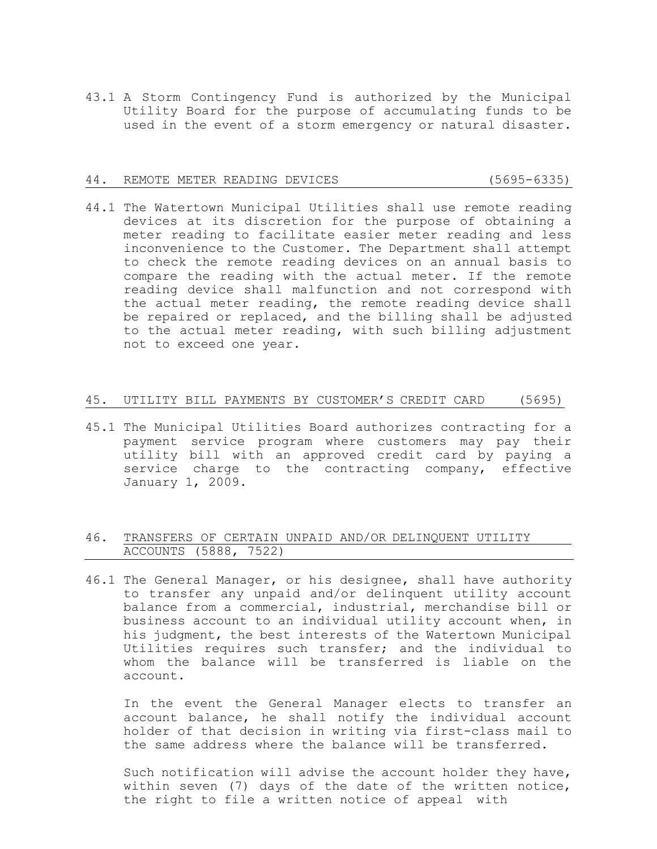43.1 A Storm Contingency Fund is authorized by the Municipal Utility Board for the purpose of accumulating funds to be used in the event of a storm emergency or natural disaster.

#### 44. REMOTE METER READING DEVICES (5695-6335)

44.1 The Watertown Municipal Utilities shall use remote reading devices at its discretion for the purpose of obtaining a meter reading to facilitate easier meter reading and less inconvenience to the Customer. The Department shall attempt to check the remote reading devices on an annual basis to compare the reading with the actual meter. If the remote reading device shall malfunction and not correspond with the actual meter reading, the remote reading device shall be repaired or replaced, and the billing shall be adjusted to the actual meter reading, with such billing adjustment not to exceed one year.

#### 45. UTILITY BILL PAYMENTS BY CUSTOMER'S CREDIT CARD (5695)

45.1 The Municipal Utilities Board authorizes contracting for a payment service program where customers may pay their utility bill with an approved credit card by paying a service charge to the contracting company, effective January 1, 2009.

# 46. TRANSFERS OF CERTAIN UNPAID AND/OR DELINQUENT UTILITY ACCOUNTS (5888, 7522)

46.1 The General Manager, or his designee, shall have authority to transfer any unpaid and/or delinquent utility account balance from a commercial, industrial, merchandise bill or business account to an individual utility account when, in his judgment, the best interests of the Watertown Municipal Utilities requires such transfer; and the individual to whom the balance will be transferred is liable on the account.

In the event the General Manager elects to transfer an account balance, he shall notify the individual account holder of that decision in writing via first-class mail to the same address where the balance will be transferred.

Such notification will advise the account holder they have, within seven (7) days of the date of the written notice, the right to file a written notice of appeal with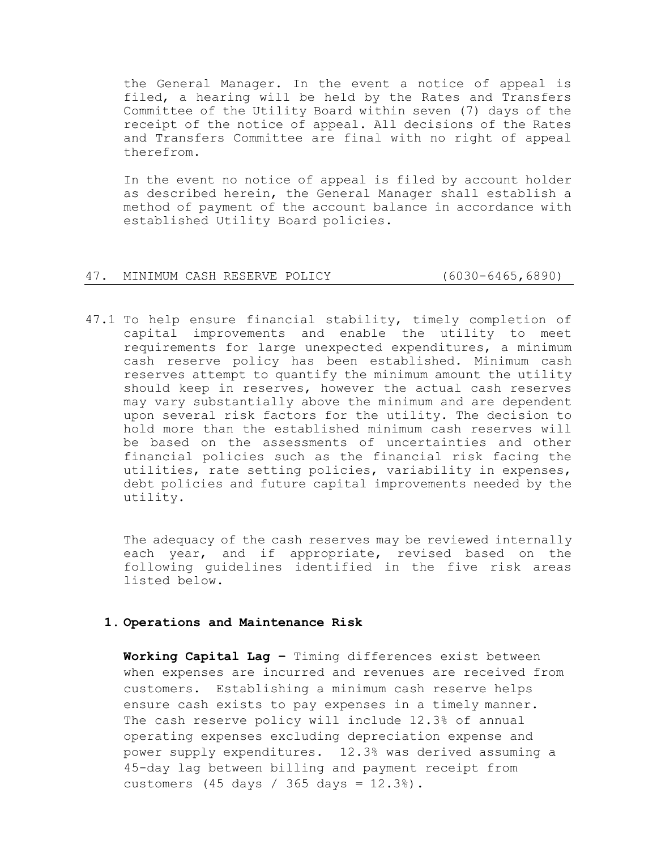the General Manager. In the event a notice of appeal is filed, a hearing will be held by the Rates and Transfers Committee of the Utility Board within seven (7) days of the receipt of the notice of appeal. All decisions of the Rates and Transfers Committee are final with no right of appeal therefrom.

In the event no notice of appeal is filed by account holder as described herein, the General Manager shall establish a method of payment of the account balance in accordance with established Utility Board policies.

#### 47. MINIMUM CASH RESERVE POLICY (6030-6465,6890)

47.1 To help ensure financial stability, timely completion of capital improvements and enable the utility to meet requirements for large unexpected expenditures, a minimum cash reserve policy has been established. Minimum cash reserves attempt to quantify the minimum amount the utility should keep in reserves, however the actual cash reserves may vary substantially above the minimum and are dependent upon several risk factors for the utility. The decision to hold more than the established minimum cash reserves will be based on the assessments of uncertainties and other financial policies such as the financial risk facing the utilities, rate setting policies, variability in expenses, debt policies and future capital improvements needed by the utility.

The adequacy of the cash reserves may be reviewed internally each year, and if appropriate, revised based on the following guidelines identified in the five risk areas listed below.

# **1. Operations and Maintenance Risk**

**Working Capital Lag –** Timing differences exist between when expenses are incurred and revenues are received from customers. Establishing a minimum cash reserve helps ensure cash exists to pay expenses in a timely manner. The cash reserve policy will include 12.3% of annual operating expenses excluding depreciation expense and power supply expenditures. 12.3% was derived assuming a 45-day lag between billing and payment receipt from customers (45 days / 365 days = 12.3%).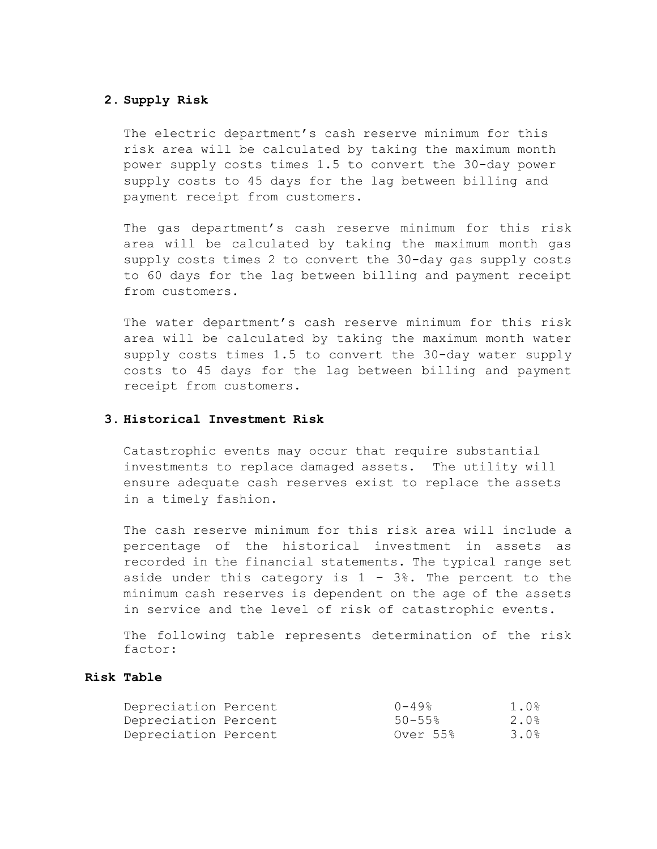# **2. Supply Risk**

The electric department's cash reserve minimum for this risk area will be calculated by taking the maximum month power supply costs times 1.5 to convert the 30-day power supply costs to 45 days for the lag between billing and payment receipt from customers.

The gas department's cash reserve minimum for this risk area will be calculated by taking the maximum month gas supply costs times 2 to convert the 30-day gas supply costs to 60 days for the lag between billing and payment receipt from customers.

The water department's cash reserve minimum for this risk area will be calculated by taking the maximum month water supply costs times 1.5 to convert the 30-day water supply costs to 45 days for the lag between billing and payment receipt from customers.

# **3. Historical Investment Risk**

Catastrophic events may occur that require substantial investments to replace damaged assets. The utility will ensure adequate cash reserves exist to replace the assets in a timely fashion.

The cash reserve minimum for this risk area will include a percentage of the historical investment in assets as recorded in the financial statements. The typical range set aside under this category is  $1 - 3$ %. The percent to the minimum cash reserves is dependent on the age of the assets in service and the level of risk of catastrophic events.

The following table represents determination of the risk factor:

# **Risk Table**

| Depreciation Percent | 0-49%       | 1.0% |
|----------------------|-------------|------|
| Depreciation Percent | $50 - 55$ % | 2.0% |
| Depreciation Percent | Over 55%    | 3.0% |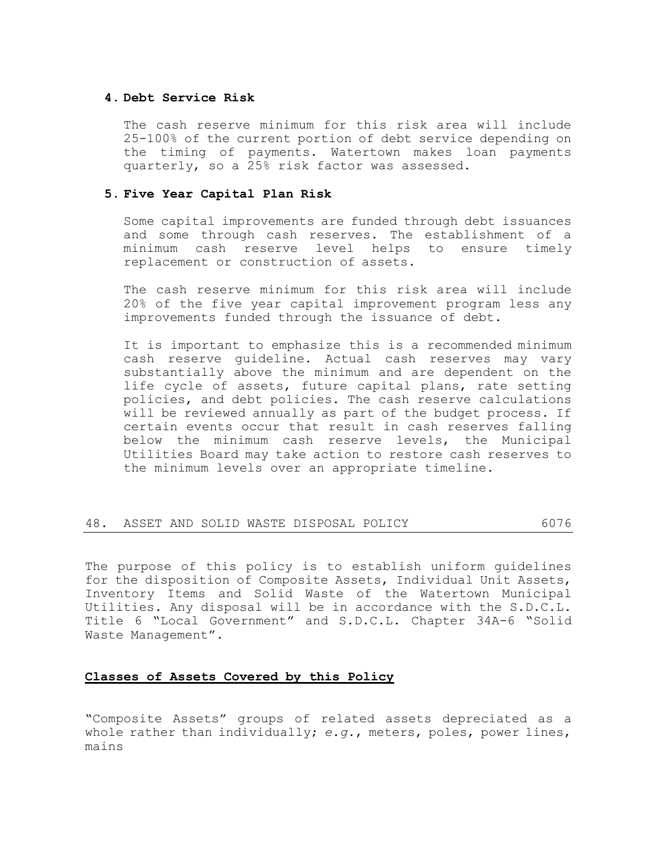# **4. Debt Service Risk**

The cash reserve minimum for this risk area will include 25-100% of the current portion of debt service depending on the timing of payments. Watertown makes loan payments quarterly, so a 25% risk factor was assessed.

# **5. Five Year Capital Plan Risk**

Some capital improvements are funded through debt issuances and some through cash reserves. The establishment of a minimum cash reserve level helps to ensure timely replacement or construction of assets.

The cash reserve minimum for this risk area will include 20% of the five year capital improvement program less any improvements funded through the issuance of debt.

It is important to emphasize this is a recommended minimum cash reserve guideline. Actual cash reserves may vary substantially above the minimum and are dependent on the life cycle of assets, future capital plans, rate setting policies, and debt policies. The cash reserve calculations will be reviewed annually as part of the budget process. If certain events occur that result in cash reserves falling below the minimum cash reserve levels, the Municipal Utilities Board may take action to restore cash reserves to the minimum levels over an appropriate timeline.

| 48. ASSET AND SOLID WASTE DISPOSAL POLICY |  |  |  |  |  |  |  |  |  |  |
|-------------------------------------------|--|--|--|--|--|--|--|--|--|--|
|-------------------------------------------|--|--|--|--|--|--|--|--|--|--|

The purpose of this policy is to establish uniform guidelines for the disposition of Composite Assets, Individual Unit Assets, Inventory Items and Solid Waste of the Watertown Municipal Utilities. Any disposal will be in accordance with the S.D.C.L. Title 6 "Local Government" and S.D.C.L. Chapter 34A-6 "Solid Waste Management".

# **Classes of Assets Covered by this Policy**

"Composite Assets" groups of related assets depreciated as a whole rather than individually; *e.g.*, meters, poles, power lines, mains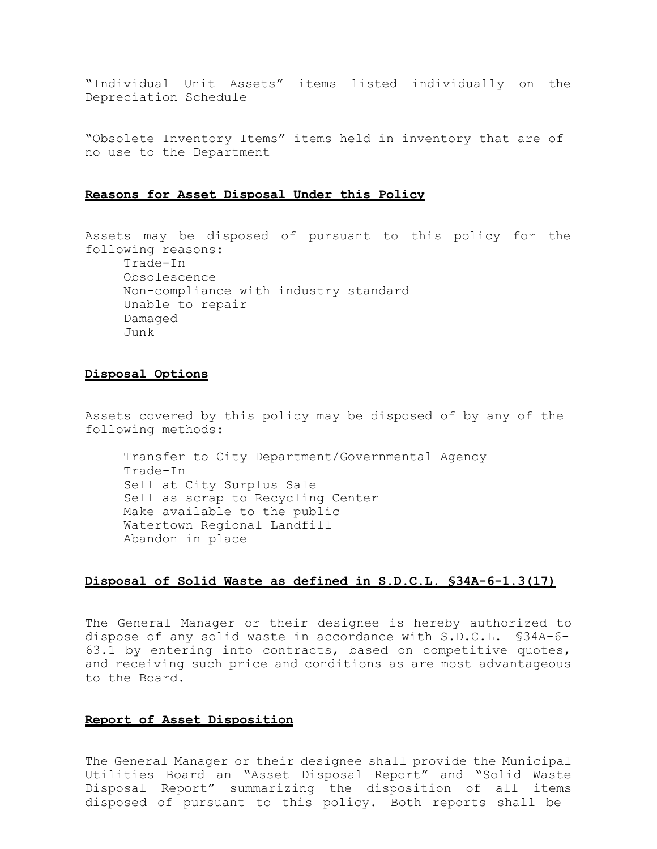"Individual Unit Assets" items listed individually on the Depreciation Schedule

"Obsolete Inventory Items" items held in inventory that are of no use to the Department

### **Reasons for Asset Disposal Under this Policy**

Assets may be disposed of pursuant to this policy for the following reasons: Trade-In Obsolescence Non-compliance with industry standard Unable to repair Damaged Junk

# **Disposal Options**

Assets covered by this policy may be disposed of by any of the following methods:

Transfer to City Department/Governmental Agency Trade-In Sell at City Surplus Sale Sell as scrap to Recycling Center Make available to the public Watertown Regional Landfill Abandon in place

# **Disposal of Solid Waste as defined in S.D.C.L. §34A-6-1.3(17)**

The General Manager or their designee is hereby authorized to dispose of any solid waste in accordance with S.D.C.L. §34A-6- 63.1 by entering into contracts, based on competitive quotes, and receiving such price and conditions as are most advantageous to the Board.

# **Report of Asset Disposition**

The General Manager or their designee shall provide the Municipal Utilities Board an "Asset Disposal Report" and "Solid Waste Disposal Report" summarizing the disposition of all items disposed of pursuant to this policy. Both reports shall be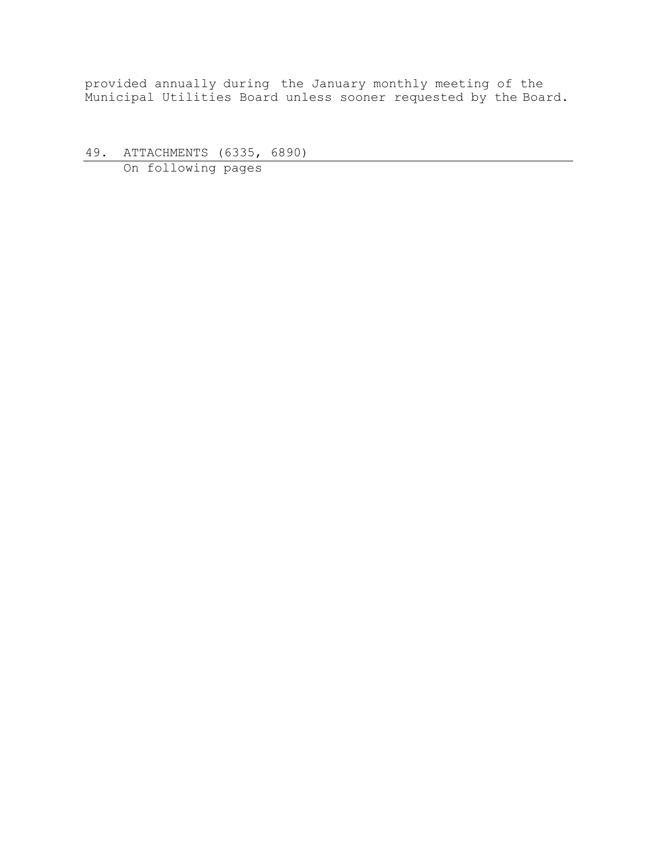provided annually during the January monthly meeting of the Municipal Utilities Board unless sooner requested by the Board.

49. ATTACHMENTS (6335, 6890) On following pages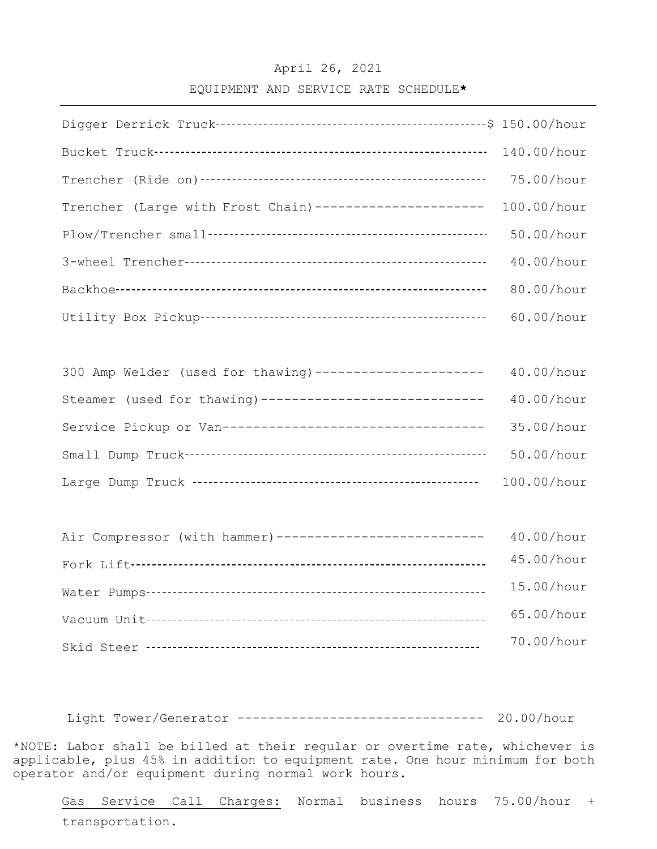# April 26, 2021

# EQUIPMENT AND SERVICE RATE SCHEDULE**\***

|                                                          | 140.00/hour |
|----------------------------------------------------------|-------------|
|                                                          | 75.00/hour  |
| Trencher (Large with Frost Chain) ---------------------  | 100.00/hour |
|                                                          | 50.00/hour  |
|                                                          | 40.00/hour  |
|                                                          | 80.00/hour  |
|                                                          | 60.00/hour  |
|                                                          |             |
| 300 Amp Welder (used for thawing) ---------------------  | 40.00/hour  |
| Steamer (used for thawing) ----------------------------- | 40.00/hour  |
| Service Pickup or Van----------------------------------  | 35.00/hour  |
|                                                          | 50.00/hour  |
|                                                          | 100.00/hour |
|                                                          |             |
| Air Compressor (with hammer)---------------------------  | 40.00/hour  |
|                                                          | 45.00/hour  |
|                                                          | 15.00/hour  |
|                                                          | 65.00/hour  |
|                                                          | 70.00/hour  |

Light Tower/Generator -------------------------------- 20.00/hour

\*NOTE: Labor shall be billed at their regular or overtime rate, whichever is applicable, plus 45% in addition to equipment rate. One hour minimum for both operator and/or equipment during normal work hours.

Gas Service Call Charges: Normal business hours 75.00/hour + transportation.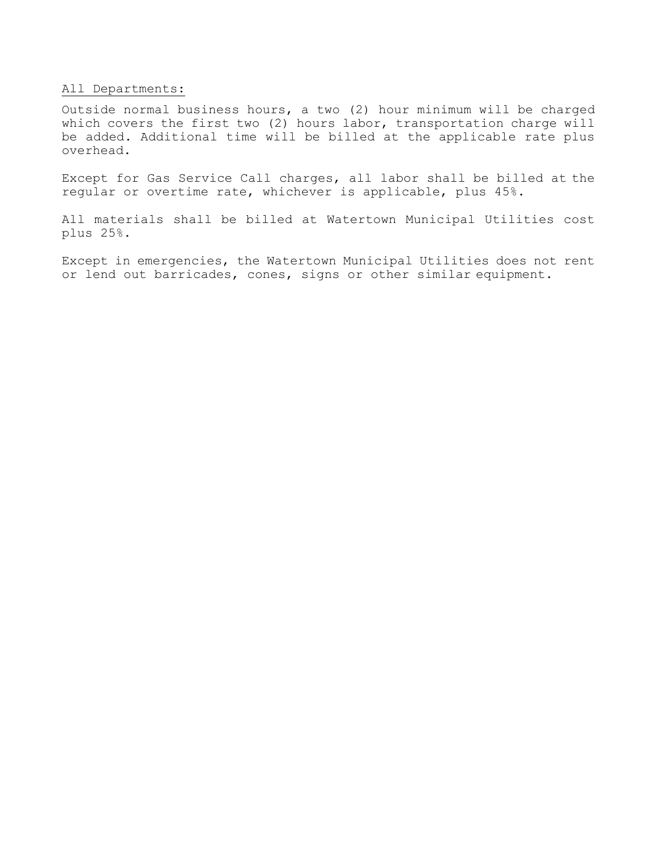# All Departments:

Outside normal business hours, a two (2) hour minimum will be charged which covers the first two (2) hours labor, transportation charge will be added. Additional time will be billed at the applicable rate plus overhead.

Except for Gas Service Call charges, all labor shall be billed at the regular or overtime rate, whichever is applicable, plus 45%.

All materials shall be billed at Watertown Municipal Utilities cost plus 25%.

Except in emergencies, the Watertown Municipal Utilities does not rent or lend out barricades, cones, signs or other similar equipment.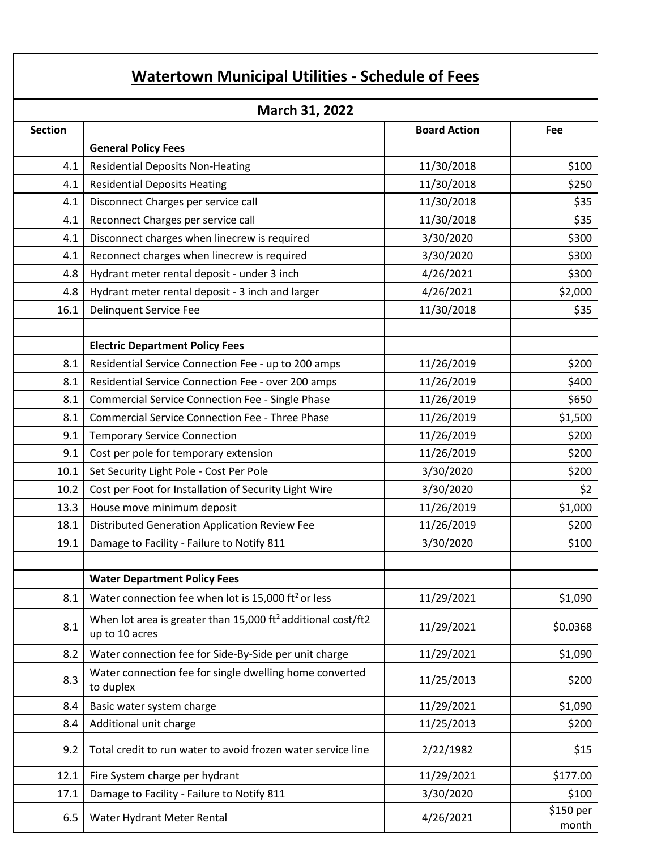# **Watertown Municipal Utilities ‐ Schedule of Fees**

| March 31, 2022 |                                                                                            |                     |                    |  |  |  |
|----------------|--------------------------------------------------------------------------------------------|---------------------|--------------------|--|--|--|
| <b>Section</b> |                                                                                            | <b>Board Action</b> | Fee                |  |  |  |
|                | <b>General Policy Fees</b>                                                                 |                     |                    |  |  |  |
| 4.1            | <b>Residential Deposits Non-Heating</b>                                                    | 11/30/2018          | \$100              |  |  |  |
| 4.1            | <b>Residential Deposits Heating</b>                                                        | 11/30/2018          | \$250              |  |  |  |
| 4.1            | Disconnect Charges per service call                                                        | 11/30/2018          | \$35               |  |  |  |
| 4.1            | Reconnect Charges per service call                                                         | 11/30/2018          | \$35               |  |  |  |
| 4.1            | Disconnect charges when linecrew is required                                               | 3/30/2020           | \$300              |  |  |  |
| 4.1            | Reconnect charges when linecrew is required                                                | 3/30/2020           | \$300              |  |  |  |
| 4.8            | Hydrant meter rental deposit - under 3 inch                                                | 4/26/2021           | \$300              |  |  |  |
| 4.8            | Hydrant meter rental deposit - 3 inch and larger                                           | 4/26/2021           | \$2,000            |  |  |  |
| 16.1           | <b>Delinquent Service Fee</b>                                                              | 11/30/2018          | \$35               |  |  |  |
|                |                                                                                            |                     |                    |  |  |  |
|                | <b>Electric Department Policy Fees</b>                                                     |                     |                    |  |  |  |
| 8.1            | Residential Service Connection Fee - up to 200 amps                                        | 11/26/2019          | \$200              |  |  |  |
| 8.1            | Residential Service Connection Fee - over 200 amps                                         | 11/26/2019          | \$400              |  |  |  |
| 8.1            | <b>Commercial Service Connection Fee - Single Phase</b>                                    | 11/26/2019          | \$650              |  |  |  |
| 8.1            | <b>Commercial Service Connection Fee - Three Phase</b>                                     | 11/26/2019          | \$1,500            |  |  |  |
| 9.1            | <b>Temporary Service Connection</b>                                                        | 11/26/2019          | \$200              |  |  |  |
| 9.1            | Cost per pole for temporary extension                                                      | 11/26/2019          | \$200              |  |  |  |
| 10.1           | Set Security Light Pole - Cost Per Pole                                                    | 3/30/2020           | \$200              |  |  |  |
| 10.2           | Cost per Foot for Installation of Security Light Wire                                      | 3/30/2020           | \$2                |  |  |  |
| 13.3           | House move minimum deposit                                                                 | 11/26/2019          | \$1,000            |  |  |  |
| 18.1           | <b>Distributed Generation Application Review Fee</b>                                       | 11/26/2019          | \$200              |  |  |  |
| 19.1           | Damage to Facility - Failure to Notify 811                                                 | 3/30/2020           | \$100              |  |  |  |
|                |                                                                                            |                     |                    |  |  |  |
|                | <b>Water Department Policy Fees</b>                                                        |                     |                    |  |  |  |
| 8.1            | Water connection fee when lot is 15,000 ft <sup>2</sup> or less                            | 11/29/2021          | \$1,090            |  |  |  |
| 8.1            | When lot area is greater than 15,000 ft <sup>2</sup> additional cost/ft2<br>up to 10 acres | 11/29/2021          | \$0.0368           |  |  |  |
| 8.2            | Water connection fee for Side-By-Side per unit charge                                      | 11/29/2021          | \$1,090            |  |  |  |
| 8.3            | Water connection fee for single dwelling home converted<br>to duplex                       | 11/25/2013          | \$200              |  |  |  |
| 8.4            | Basic water system charge                                                                  | 11/29/2021          | \$1,090            |  |  |  |
| 8.4            | Additional unit charge                                                                     | 11/25/2013          | \$200              |  |  |  |
| 9.2            | Total credit to run water to avoid frozen water service line                               | 2/22/1982           | \$15               |  |  |  |
| 12.1           | Fire System charge per hydrant                                                             | 11/29/2021          | \$177.00           |  |  |  |
| 17.1           | Damage to Facility - Failure to Notify 811                                                 | 3/30/2020           | \$100              |  |  |  |
| 6.5            | Water Hydrant Meter Rental                                                                 | 4/26/2021           | \$150 per<br>month |  |  |  |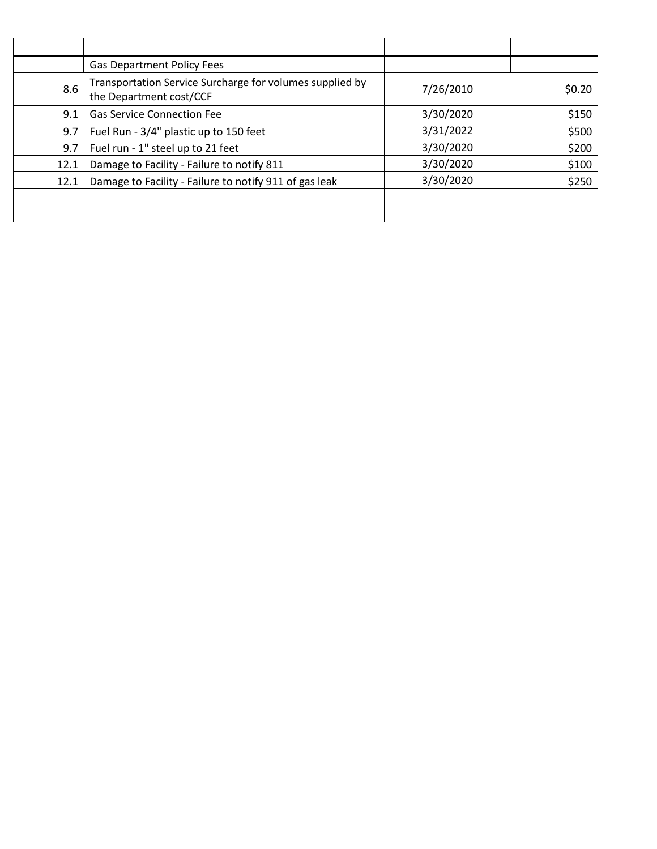|      | <b>Gas Department Policy Fees</b>                                                   |           |        |
|------|-------------------------------------------------------------------------------------|-----------|--------|
| 8.6  | Transportation Service Surcharge for volumes supplied by<br>the Department cost/CCF | 7/26/2010 | \$0.20 |
| 9.1  | <b>Gas Service Connection Fee</b>                                                   | 3/30/2020 | \$150  |
| 9.7  | Fuel Run - 3/4" plastic up to 150 feet                                              | 3/31/2022 | \$500  |
| 9.7  | Fuel run - 1" steel up to 21 feet                                                   | 3/30/2020 | \$200  |
| 12.1 | Damage to Facility - Failure to notify 811                                          | 3/30/2020 | \$100  |
| 12.1 | Damage to Facility - Failure to notify 911 of gas leak                              | 3/30/2020 | \$250  |
|      |                                                                                     |           |        |
|      |                                                                                     |           |        |